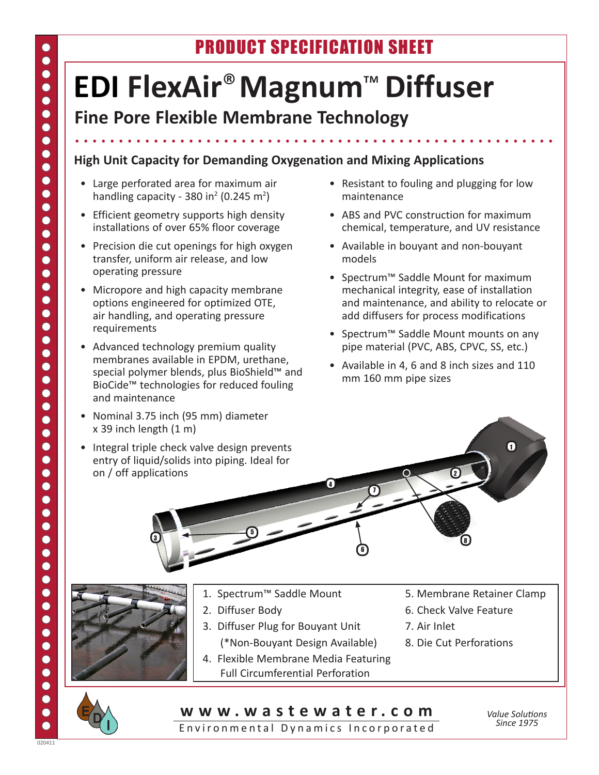# PRODUCT SPECIFICATION SHEET

# **EDI FlexAir**®**Magnum**™ **Diffuser**

## **Fine Pore Flexible Membrane Technology**

#### **High Unit Capacity for Demanding Oxygenation and Mixing Applications**

- • Large perforated area for maximum air handling capacity - 380 in<sup>2</sup> (0.245 m<sup>2</sup>)
- Efficient geometry supports high density installations of over 65% floor coverage
- Precision die cut openings for high oxygen transfer, uniform air release, and low operating pressure
- Micropore and high capacity membrane options engineered for optimized OTE, air handling, and operating pressure requirements
- Advanced technology premium quality membranes available in EPDM, urethane, special polymer blends, plus BioShield™ and BioCide™ technologies for reduced fouling and maintenance
- • Nominal 3.75 inch (95 mm) diameter  $x$  39 inch length  $(1 \text{ m})$

3

• Integral triple check valve design prevents entry of liquid/solids into piping. Ideal for on / off applications

- Resistant to fouling and plugging for low maintenance
- ABS and PVC construction for maximum chemical, temperature, and UV resistance
- • Available in bouyant and non-bouyant models
- • Spectrum™ Saddle Mount for maximum mechanical integrity, ease of installation and maintenance, and ability to relocate or add diffusers for process modifications
- • Spectrum™ Saddle Mount mounts on any pipe material (PVC, ABS, CPVC, SS, etc.)
- • Available in 4, 6 and 8 inch sizes and 110 mm 160 mm pipe sizes

- 
- 
- 

5

- 3. Diffuser Plug for Bouyant Unit 7. Air Inlet (\*Non-Bouyant Design Available) 8. Die Cut Perforations
- 4. Flexible Membrane Media Featuring Full Circumferential Perforation
- 1. Spectrum™ Saddle Mount 5. Membrane Retainer Clamp

8

2. Diffuser Body **8.** Check Valve Feature

2

- 
- 

### **w w w . w a s t e w a t e r . c o m**

4

6

7

Environmental Dynamics Incorporated

*Value Solutions Since 1975*

0

 $\bullet$